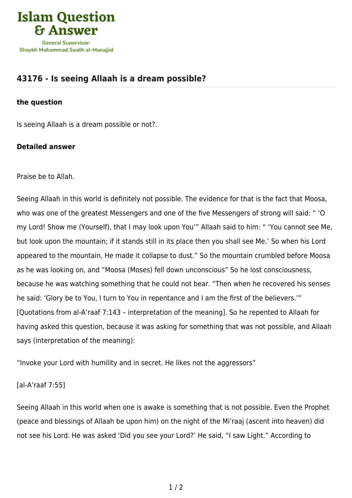

## **[43176 - Is seeing Allaah is a dream possible?](https://islamqa.com/en/answers/43176/is-seeing-allaah-is-a-dream-possible)**

## **the question**

Is seeing Allaah is a dream possible or not?.

## **Detailed answer**

Praise be to Allah.

Seeing Allaah in this world is definitely not possible. The evidence for that is the fact that Moosa, who was one of the greatest Messengers and one of the five Messengers of strong will said: " 'O my Lord! Show me (Yourself), that I may look upon You'" Allaah said to him: " 'You cannot see Me, but look upon the mountain; if it stands still in its place then you shall see Me.' So when his Lord appeared to the mountain, He made it collapse to dust." So the mountain crumbled before Moosa as he was looking on, and "Moosa (Moses) fell down unconscious" So he lost consciousness, because he was watching something that he could not bear. "Then when he recovered his senses he said: 'Glory be to You, I turn to You in repentance and I am the first of the believers.'" [Quotations from al-A'raaf 7:143 – interpretation of the meaning]. So he repented to Allaah for having asked this question, because it was asking for something that was not possible, and Allaah says (interpretation of the meaning):

"Invoke your Lord with humility and in secret. He likes not the aggressors"

## [al-A'raaf 7:55]

Seeing Allaah in this world when one is awake is something that is not possible. Even the Prophet (peace and blessings of Allaah be upon him) on the night of the Mi'raaj (ascent into heaven) did not see his Lord. He was asked 'Did you see your Lord?' He said, "I saw Light." According to